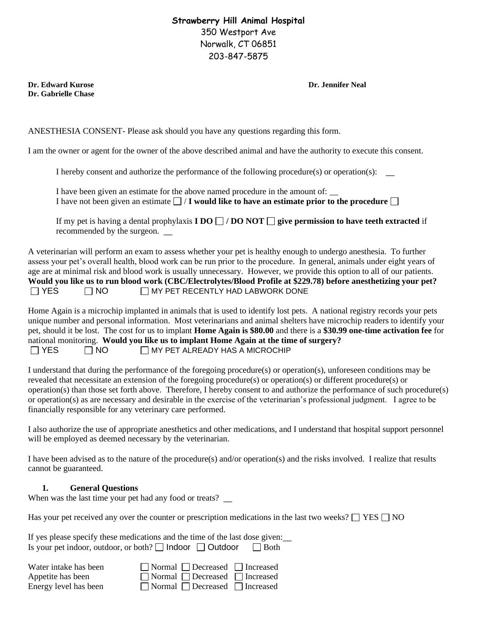## **Strawberry Hill Animal Hospital** 350 Westport Ave Norwalk, CT 06851 203-847-5875

**Dr. Edward Kurose Dr. Jennifer Neal Dr. Gabrielle Chase**

ANESTHESIA CONSENT- Please ask should you have any questions regarding this form.

I am the owner or agent for the owner of the above described animal and have the authority to execute this consent.

I hereby consent and authorize the performance of the following procedure(s) or operation(s):  $\qquad \qquad$ 

I have been given an estimate for the above named procedure in the amount of: \_\_ I have not been given an estimate  $\Box$  / **I** would like to have an estimate prior to the procedure  $\Box$ 

If my pet is having a dental prophylaxis **I DO**  $\Box$  **/ DO NOT**  $\Box$  **give permission to have teeth extracted** if recommended by the surgeon. \_\_

A veterinarian will perform an exam to assess whether your pet is healthy enough to undergo anesthesia. To further assess your pet's overall health, blood work can be run prior to the procedure. In general, animals under eight years of age are at minimal risk and blood work is usually unnecessary. However, we provide this option to all of our patients. **Would you like us to run blood work (CBC/Electrolytes/Blood Profile at \$229.78) before anesthetizing your pet?**  $\Box$  YES  $\Box$  NO  $\Box$  MY PET RECENTLY HAD LABWORK DONE

Home Again is a microchip implanted in animals that is used to identify lost pets. A national registry records your pets unique number and personal information. Most veterinarians and animal shelters have microchip readers to identify your pet, should it be lost. The cost for us to implant **Home Again is \$80.00** and there is a **\$30.99 one-time activation fee** for national monitoring. **Would you like us to implant Home Again at the time of surgery?**   $\Box$  YES  $\Box$  NO  $\Box$  MY PET ALREADY HAS A MICROCHIP

I understand that during the performance of the foregoing procedure(s) or operation(s), unforeseen conditions may be revealed that necessitate an extension of the foregoing procedure(s) or operation(s) or different procedure(s) or operation(s) than those set forth above. Therefore, I hereby consent to and authorize the performance of such procedure(s) or operation(s) as are necessary and desirable in the exercise of the veterinarian's professional judgment. I agree to be financially responsible for any veterinary care performed.

I also authorize the use of appropriate anesthetics and other medications, and I understand that hospital support personnel will be employed as deemed necessary by the veterinarian.

I have been advised as to the nature of the procedure(s) and/or operation(s) and the risks involved. I realize that results cannot be guaranteed.

## **1. General Questions**

When was the last time your pet had any food or treats?

Has your pet received any over the counter or prescription medications in the last two weeks?  $\Box$  YES  $\Box$  NO

| If yes please specify these medications and the time of the last dose given: |             |
|------------------------------------------------------------------------------|-------------|
| Is your pet indoor, outdoor, or both? $\Box$ Indoor $\Box$ Outdoor           | $\Box$ Both |

| Water intake has been | □ Normal □ Decreased □ Increased                |  |
|-----------------------|-------------------------------------------------|--|
| Appetite has been     | $\Box$ Normal $\Box$ Decreased $\Box$ Increased |  |
| Energy level has been | $\Box$ Normal $\Box$ Decreased $\Box$ Increased |  |